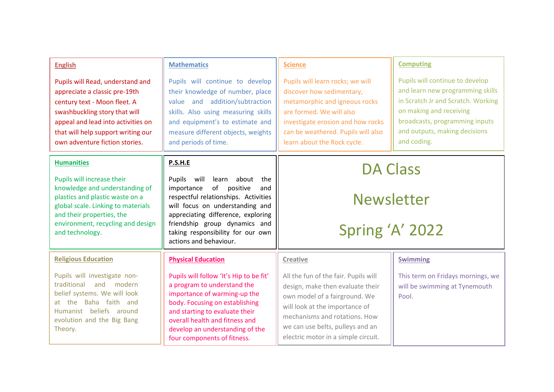| <b>English</b>                                                                                                                                                                                                                                   | <b>Mathematics</b>                                                                                                                                                                                                                                              | <b>Science</b>                                                                                                                                                                                                                       | <b>Computing</b>                                                                                                                                                                                                       |
|--------------------------------------------------------------------------------------------------------------------------------------------------------------------------------------------------------------------------------------------------|-----------------------------------------------------------------------------------------------------------------------------------------------------------------------------------------------------------------------------------------------------------------|--------------------------------------------------------------------------------------------------------------------------------------------------------------------------------------------------------------------------------------|------------------------------------------------------------------------------------------------------------------------------------------------------------------------------------------------------------------------|
| Pupils will Read, understand and<br>appreciate a classic pre-19th<br>century text - Moon fleet. A<br>swashbuckling story that will<br>appeal and lead into activities on<br>that will help support writing our<br>own adventure fiction stories. | Pupils will continue to develop<br>their knowledge of number, place<br>value and addition/subtraction<br>skills. Also using measuring skills<br>and equipment's to estimate and<br>measure different objects, weights<br>and periods of time.                   | Pupils will learn rocks; we will<br>discover how sedimentary,<br>metamorphic and igneous rocks<br>are formed. We will also<br>investigate erosion and how rocks<br>can be weathered. Pupils will also<br>learn about the Rock cycle. | Pupils will continue to develop<br>and learn new programming skills<br>in Scratch Jr and Scratch. Working<br>on making and receiving<br>broadcasts, programming inputs<br>and outputs, making decisions<br>and coding. |
| <b>Humanities</b>                                                                                                                                                                                                                                | P.S.H.E                                                                                                                                                                                                                                                         | <b>DA Class</b>                                                                                                                                                                                                                      |                                                                                                                                                                                                                        |
| Pupils will increase their                                                                                                                                                                                                                       | Pupils<br>will<br>learn about<br>the<br>of positive<br>importance<br>and<br>respectful relationships. Activities<br>will focus on understanding and<br>appreciating difference, exploring<br>friendship group dynamics and<br>taking responsibility for our own |                                                                                                                                                                                                                                      |                                                                                                                                                                                                                        |
| knowledge and understanding of<br>plastics and plastic waste on a<br>global scale. Linking to materials<br>and their properties, the                                                                                                             |                                                                                                                                                                                                                                                                 | <b>Newsletter</b>                                                                                                                                                                                                                    |                                                                                                                                                                                                                        |
|                                                                                                                                                                                                                                                  |                                                                                                                                                                                                                                                                 |                                                                                                                                                                                                                                      |                                                                                                                                                                                                                        |
|                                                                                                                                                                                                                                                  |                                                                                                                                                                                                                                                                 | actions and behaviour.                                                                                                                                                                                                               |                                                                                                                                                                                                                        |
| <b>Religious Education</b>                                                                                                                                                                                                                       | <b>Physical Education</b>                                                                                                                                                                                                                                       | Creative                                                                                                                                                                                                                             | <b>Swimming</b>                                                                                                                                                                                                        |
| Pupils will investigate non-<br>traditional and modern                                                                                                                                                                                           | Pupils will follow 'It's Hip to be fit'                                                                                                                                                                                                                         | All the fun of the fair. Pupils will                                                                                                                                                                                                 | This term on Fridays mornings, we                                                                                                                                                                                      |
| belief systems. We will look                                                                                                                                                                                                                     | a program to understand the<br>importance of warming-up the                                                                                                                                                                                                     | design, make then evaluate their                                                                                                                                                                                                     | will be swimming at Tynemouth<br>Pool.                                                                                                                                                                                 |
| at the Baha faith and<br>Humanist beliefs around<br>evolution and the Big Bang<br>Theory.                                                                                                                                                        | body. Focusing on establishing<br>and starting to evaluate their<br>overall health and fitness and<br>develop an understanding of the                                                                                                                           | own model of a fairground. We<br>will look at the importance of                                                                                                                                                                      |                                                                                                                                                                                                                        |
|                                                                                                                                                                                                                                                  |                                                                                                                                                                                                                                                                 | mechanisms and rotations. How                                                                                                                                                                                                        |                                                                                                                                                                                                                        |
|                                                                                                                                                                                                                                                  |                                                                                                                                                                                                                                                                 | we can use belts, pulleys and an                                                                                                                                                                                                     |                                                                                                                                                                                                                        |
|                                                                                                                                                                                                                                                  | four components of fitness.                                                                                                                                                                                                                                     | electric motor in a simple circuit.                                                                                                                                                                                                  |                                                                                                                                                                                                                        |